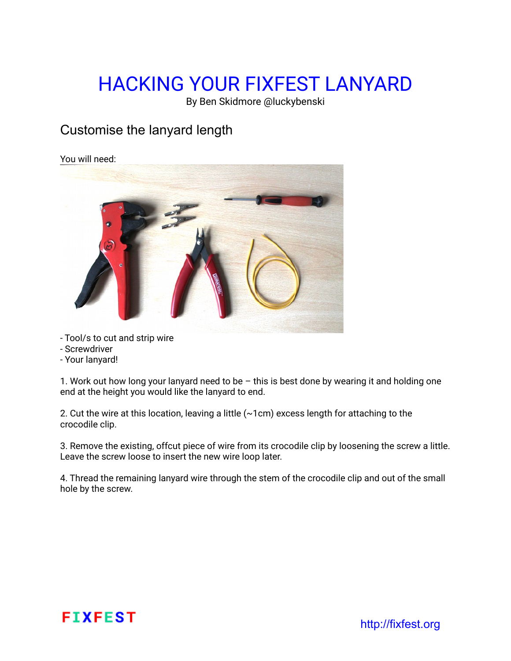# HACKING YOUR FIXFEST LANYARD

By Ben Skidmore @luckybenski

### Customise the lanyard length

#### You will need:



- Tool/s to cut and strip wire
- Screwdriver
- Your lanyard!

1. Work out how long your lanyard need to be – this is best done by wearing it and holding one end at the height you would like the lanyard to end.

2. Cut the wire at this location, leaving a little (~1cm) excess length for attaching to the crocodile clip.

3. Remove the existing, offcut piece of wire from its crocodile clip by loosening the screw a little. Leave the screw loose to insert the new wire loop later.

4. Thread the remaining lanyard wire through the stem of the crocodile clip and out of the small hole by the screw.

## FIXFEST http://fixfest.org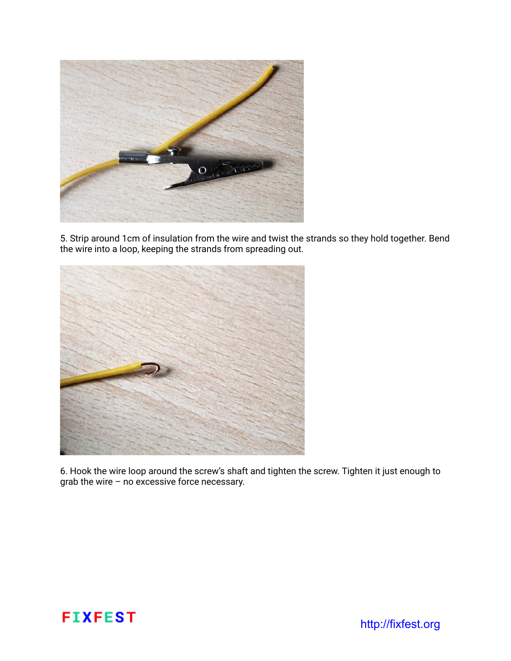

5. Strip around 1cm of insulation from the wire and twist the strands so they hold together. Bend the wire into a loop, keeping the strands from spreading out.



6. Hook the wire loop around the screw's shaft and tighten the screw. Tighten it just enough to grab the wire – no excessive force necessary.

# FIXFEST http://fixfest.org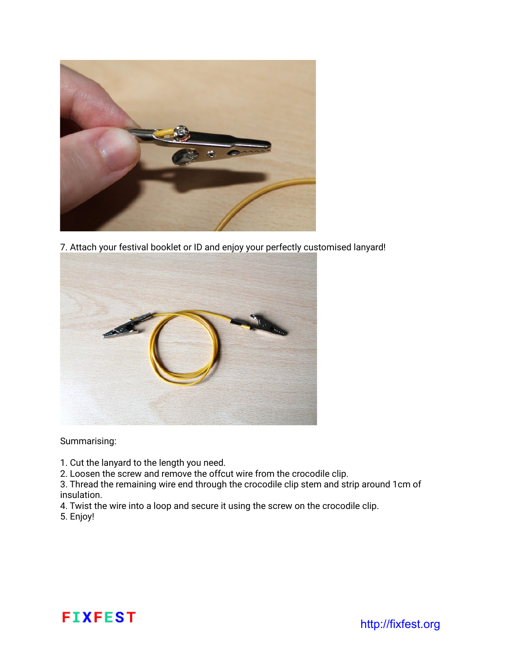

7. Attach your festival booklet or ID and enjoy your perfectly customised lanyard!



Summarising:

1. Cut the lanyard to the length you need.

2. Loosen the screw and remove the offcut wire from the crocodile clip.

3. Thread the remaining wire end through the crocodile clip stem and strip around 1cm of insulation.

4. Twist the wire into a loop and secure it using the screw on the crocodile clip.

5. Enjoy!

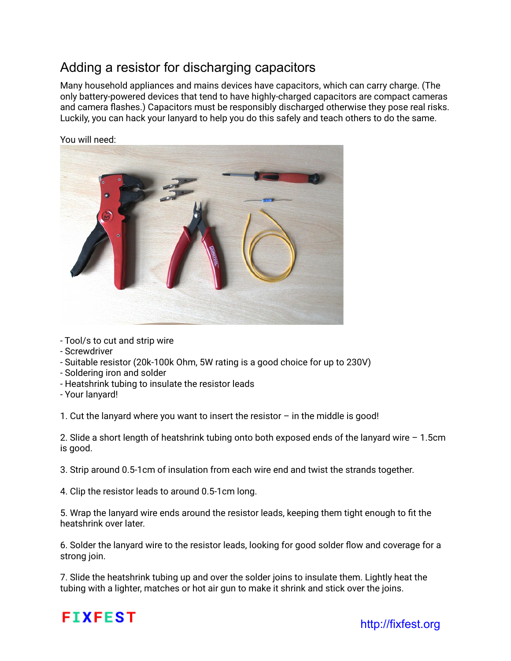### Adding a resistor for discharging capacitors

Many household appliances and mains devices have capacitors, which can carry charge. (The only battery-powered devices that tend to have highly-charged capacitors are compact cameras and camera flashes.) Capacitors must be responsibly discharged otherwise they pose real risks. Luckily, you can hack your lanyard to help you do this safely and teach others to do the same.



You will need:

- Tool/s to cut and strip wire
- Screwdriver
- Suitable resistor (20k-100k Ohm, 5W rating is a good choice for up to 230V)
- Soldering iron and solder
- Heatshrink tubing to insulate the resistor leads
- Your lanyard!

1. Cut the lanyard where you want to insert the resistor – in the middle is good!

2. Slide a short length of heatshrink tubing onto both exposed ends of the lanyard wire – 1.5cm is good.

3. Strip around 0.5-1cm of insulation from each wire end and twist the strands together.

4. Clip the resistor leads to around 0.5-1cm long.

5. Wrap the lanyard wire ends around the resistor leads, keeping them tight enough to fit the heatshrink over later.

6. Solder the lanyard wire to the resistor leads, looking for good solder flow and coverage for a strong join.

7. Slide the heatshrink tubing up and over the solder joins to insulate them. Lightly heat the tubing with a lighter, matches or hot air gun to make it shrink and stick over the joins.

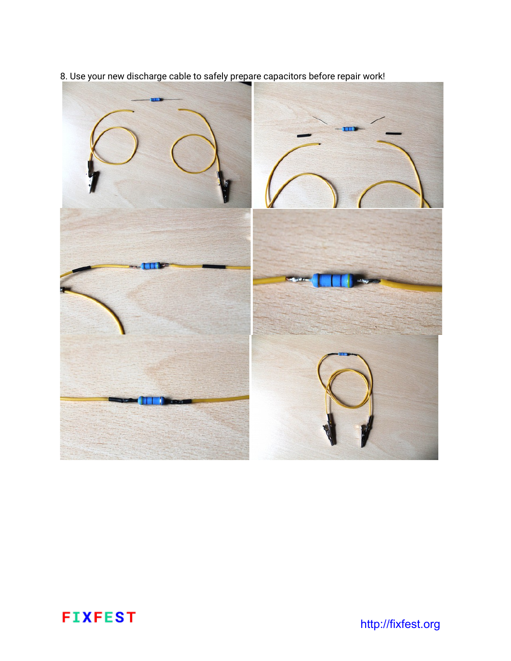

8. Use your new discharge cable to safely prepare capacitors before repair work!